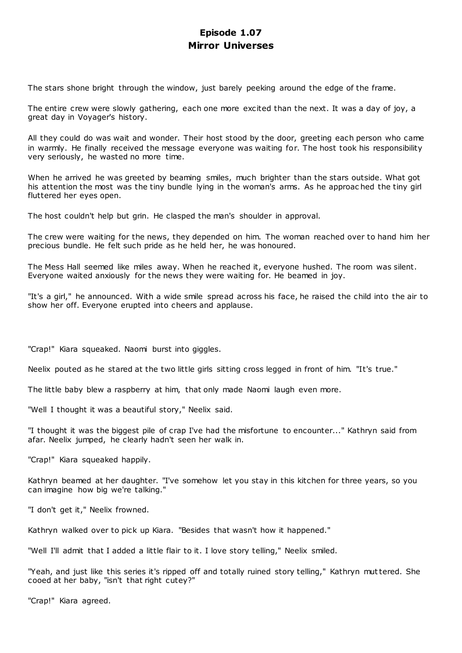# **Episode 1.07 Mirror Universes**

The stars shone bright through the window, just barely peeking around the edge of the frame.

The entire crew were slowly gathering, each one more excited than the next. It was a day of joy, a great day in Voyager's history.

All they could do was wait and wonder. Their host stood by the door, greeting each person who came in warmly. He finally received the message everyone was waiting for. The host took his responsibility very seriously, he wasted no more time.

When he arrived he was greeted by beaming smiles, much brighter than the stars outside. What got his attention the most was the tiny bundle lying in the woman's arms. As he approac hed the tiny girl fluttered her eyes open.

The host couldn't help but grin. He clasped the man's shoulder in approval.

The crew were waiting for the news, they depended on him. The woman reached over to hand him her precious bundle. He felt such pride as he held her, he was honoured.

The Mess Hall seemed like miles away. When he reached it, everyone hushed. The room was silent. Everyone waited anxiously for the news they were waiting for. He beamed in joy.

"It's a girl," he announced. With a wide smile spread across his face, he raised the child into the air to show her off. Everyone erupted into cheers and applause.

"Crap!" Kiara squeaked. Naomi burst into giggles.

Neelix pouted as he stared at the two little girls sitting cross legged in front of him. "It's true."

The little baby blew a raspberry at him, that only made Naomi laugh even more.

"Well I thought it was a beautiful story," Neelix said.

"I thought it was the biggest pile of crap I've had the misfortune to encounter..." Kathryn said from afar. Neelix jumped, he clearly hadn't seen her walk in.

"Crap!" Kiara squeaked happily.

Kathryn beamed at her daughter. "I've somehow let you stay in this kitchen for three years, so you can imagine how big we're talking."

"I don't get it," Neelix frowned.

Kathryn walked over to pick up Kiara. "Besides that wasn't how it happened."

"Well I'll admit that I added a little flair to it. I love story telling," Neelix smiled.

"Yeah, and just like this series it's ripped off and totally ruined story telling," Kathryn muttered. She cooed at her baby, "isn't that right cutey?"

"Crap!" Kiara agreed.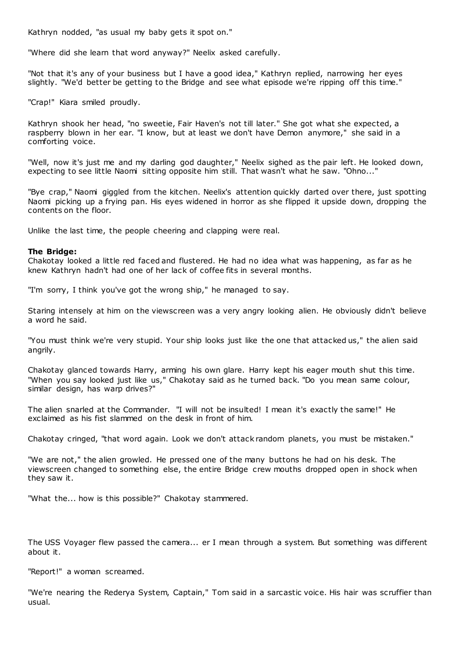Kathryn nodded, "as usual my baby gets it spot on."

"Where did she learn that word anyway?" Neelix asked carefully.

"Not that it's any of your business but I have a good idea," Kathryn replied, narrowing her eyes slightly. "We'd better be getting to the Bridge and see what episode we're ripping off this time."

"Crap!" Kiara smiled proudly.

Kathryn shook her head, "no sweetie, Fair Haven's not till later." She got what she expected, a raspberry blown in her ear. "I know, but at least we don't have Demon anymore," she said in a comforting voice.

"Well, now it's just me and my darling god daughter," Neelix sighed as the pair left. He looked down, expecting to see little Naomi sitting opposite him still. That wasn't what he saw. "Ohno..."

"Bye crap," Naomi giggled from the kitchen. Neelix's attention quickly darted over there, just spotting Naomi picking up a frying pan. His eyes widened in horror as she flipped it upside down, dropping the contents on the floor.

Unlike the last time, the people cheering and clapping were real.

#### **The Bridge:**

Chakotay looked a little red faced and flustered. He had no idea what was happening, as far as he knew Kathryn hadn't had one of her lack of coffee fits in several months.

"I'm sorry, I think you've got the wrong ship," he managed to say.

Staring intensely at him on the viewscreen was a very angry looking alien. He obviously didn't believe a word he said.

"You must think we're very stupid. Your ship looks just like the one that attacked us," the alien said angrily.

Chakotay glanced towards Harry, arming his own glare. Harry kept his eager mouth shut this time. "When you say looked just like us," Chakotay said as he turned back. "Do you mean same colour, similar design, has warp drives?"

The alien snarled at the Commander. "I will not be insulted! I mean it's exactly the same!" He exclaimed as his fist slammed on the desk in front of him.

Chakotay cringed, "that word again. Look we don't attack random planets, you must be mistaken."

"We are not," the alien growled. He pressed one of the many buttons he had on his desk. The viewscreen changed to something else, the entire Bridge crew mouths dropped open in shock when they saw it.

"What the... how is this possible?" Chakotay stammered.

The USS Voyager flew passed the camera... er I mean through a system. But something was different about it.

"Report!" a woman screamed.

"We're nearing the Rederya System, Captain," Tom said in a sarcastic voice. His hair was scruffier than usual.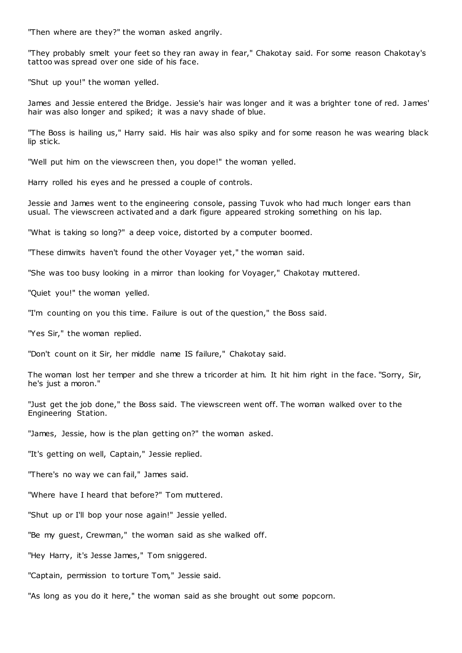"Then where are they?" the woman asked angrily.

"They probably smelt your feet so they ran away in fear," Chakotay said. For some reason Chakotay's tattoo was spread over one side of his face.

"Shut up you!" the woman yelled.

James and Jessie entered the Bridge. Jessie's hair was longer and it was a brighter tone of red. James' hair was also longer and spiked; it was a navy shade of blue.

"The Boss is hailing us," Harry said. His hair was also spiky and for some reason he was wearing black lip stick.

"Well put him on the viewscreen then, you dope!" the woman yelled.

Harry rolled his eyes and he pressed a couple of controls.

Jessie and James went to the engineering console, passing Tuvok who had much longer ears than usual. The viewscreen activated and a dark figure appeared stroking something on his lap.

"What is taking so long?" a deep voice, distorted by a computer boomed.

"These dimwits haven't found the other Voyager yet," the woman said.

"She was too busy looking in a mirror than looking for Voyager," Chakotay muttered.

"Quiet you!" the woman yelled.

"I'm counting on you this time. Failure is out of the question," the Boss said.

"Yes Sir," the woman replied.

"Don't count on it Sir, her middle name IS failure," Chakotay said.

The woman lost her temper and she threw a tricorder at him. It hit him right in the face. "Sorry, Sir, he's just a moron."

"Just get the job done," the Boss said. The viewscreen went off. The woman walked over to the Engineering Station.

"James, Jessie, how is the plan getting on?" the woman asked.

"It's getting on well, Captain," Jessie replied.

"There's no way we can fail," James said.

"Where have I heard that before?" Tom muttered.

"Shut up or I'll bop your nose again!" Jessie yelled.

"Be my guest, Crewman," the woman said as she walked off.

"Hey Harry, it's Jesse James," Tom sniggered.

"Captain, permission to torture Tom," Jessie said.

"As long as you do it here," the woman said as she brought out some popcorn.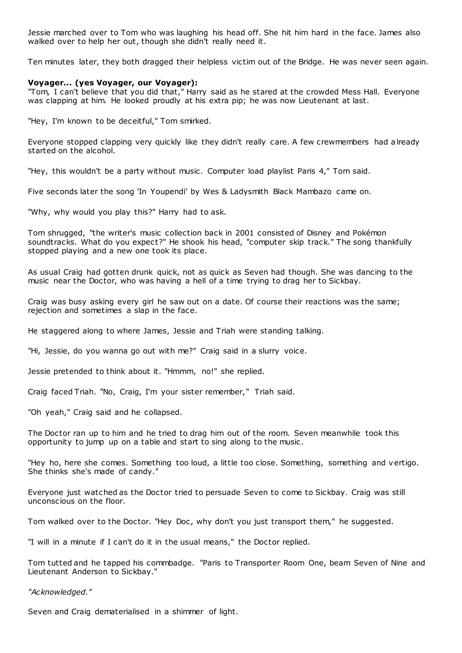Jessie marched over to Tom who was laughing his head off. She hit him hard in the face. James also walked over to help her out, though she didn't really need it.

Ten minutes later, they both dragged their helpless victim out of the Bridge. He was never seen again.

# **Voyager... (yes Voyager, our Voyager):**

"Tom, I can't believe that you did that," Harry said as he stared at the crowded Mess Hall. Everyone was clapping at him. He looked proudly at his extra pip; he was now Lieutenant at last.

"Hey, I'm known to be deceitful," Tom smirked.

Everyone stopped clapping very quickly like they didn't really care. A few crewmembers had already started on the alcohol.

"Hey, this wouldn't be a party without music . Computer load playlist Paris 4," Tom said.

Five seconds later the song 'In Youpendi' by Wes & Ladysmith Black Mambazo came on.

"Why, why would you play this?" Harry had to ask.

Tom shrugged, "the writer's music collection back in 2001 consisted of Disney and Pokémon soundtracks. What do you expect?" He shook his head, "computer skip track." The song thankfully stopped playing and a new one took its place.

As usual Craig had gotten drunk quick, not as quick as Seven had though. She was dancing to the music near the Doctor, who was having a hell of a time trying to drag her to Sickbay.

Craig was busy asking every girl he saw out on a date. Of course their reactions was the same; rejection and sometimes a slap in the face.

He staggered along to where James, Jessie and Triah were standing talking.

"Hi, Jessie, do you wanna go out with me?" Craig said in a slurry voice.

Jessie pretended to think about it. "Hmmm, no!" she replied.

Craig faced Triah. "No, Craig, I'm your sister remember," Triah said.

"Oh yeah," Craig said and he collapsed.

The Doctor ran up to him and he tried to drag him out of the room. Seven meanwhile took this opportunity to jump up on a table and start to sing along to the music .

"Hey ho, here she comes. Something too loud, a little too close. Something, something and v ertigo. She thinks she's made of candy."

Everyone just watched as the Doctor tried to persuade Seven to come to Sickbay. Craig was still unconscious on the floor.

Tom walked over to the Doctor. "Hey Doc, why don't you just transport them," he suggested.

"I will in a minute if I can't do it in the usual means," the Doctor replied.

Tom tutted and he tapped his commbadge. "Paris to Transporter Room One, beam Seven of Nine and Lieutenant Anderson to Sickbay."

*"Acknowledged."*

Seven and Craig dematerialised in a shimmer of light.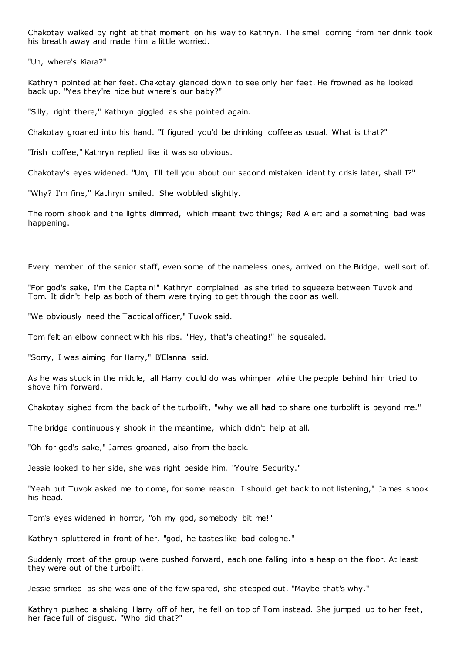Chakotay walked by right at that moment on his way to Kathryn. The smell coming from her drink took his breath away and made him a little worried.

"Uh, where's Kiara?"

Kathryn pointed at her feet. Chakotay glanced down to see only her feet. He frowned as he looked back up. "Yes they're nice but where's our baby?"

"Silly, right there," Kathryn giggled as she pointed again.

Chakotay groaned into his hand. "I figured you'd be drinking coffee as usual. What is that?"

"Irish coffee," Kathryn replied like it was so obvious.

Chakotay's eyes widened. "Um, I'll tell you about our second mistaken identity crisis later, shall I?"

"Why? I'm fine," Kathryn smiled. She wobbled slightly.

The room shook and the lights dimmed, which meant two things; Red Alert and a something bad was happening.

Every member of the senior staff, even some of the nameless ones, arrived on the Bridge, well sort of.

"For god's sake, I'm the Captain!" Kathryn complained as she tried to squeeze between Tuvok and Tom. It didn't help as both of them were trying to get through the door as well.

"We obviously need the Tactical officer," Tuvok said.

Tom felt an elbow connect with his ribs. "Hey, that's cheating!" he squealed.

"Sorry, I was aiming for Harry," B'Elanna said.

As he was stuck in the middle, all Harry could do was whimper while the people behind him tried to shove him forward.

Chakotay sighed from the back of the turbolift, "why we all had to share one turbolift is beyond me."

The bridge continuously shook in the meantime, which didn't help at all.

"Oh for god's sake," James groaned, also from the back.

Jessie looked to her side, she was right beside him. "You're Security."

"Yeah but Tuvok asked me to come, for some reason. I should get back to not listening," James shook his head.

Tom's eyes widened in horror, "oh my god, somebody bit me!"

Kathryn spluttered in front of her, "god, he tastes like bad cologne."

Suddenly most of the group were pushed forward, each one falling into a heap on the floor. At least they were out of the turbolift.

Jessie smirked as she was one of the few spared, she stepped out. "Maybe that's why."

Kathryn pushed a shaking Harry off of her, he fell on top of Tom instead. She jumped up to her feet, her face full of disgust. "Who did that?"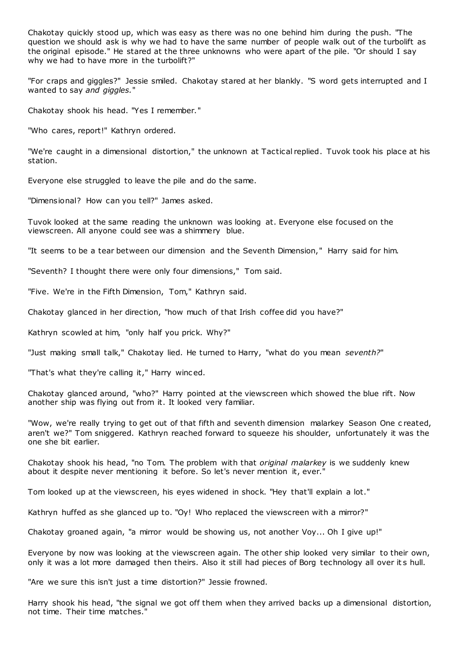Chakotay quickly stood up, which was easy as there was no one behind him during the push. "The question we should ask is why we had to have the same number of people walk out of the turbolift as the original episode." He stared at the three unknowns who were apart of the pile. "Or should I say why we had to have more in the turbolift?"

"For craps and giggles?" Jessie smiled. Chakotay stared at her blankly. "S word gets interrupted and I wanted to say *and giggles.*"

Chakotay shook his head. "Yes I remember."

"Who cares, report!" Kathryn ordered.

"We're caught in a dimensional distortion," the unknown at Tactical replied. Tuvok took his place at his station.

Everyone else struggled to leave the pile and do the same.

"Dimensional? How can you tell?" James asked.

Tuvok looked at the same reading the unknown was looking at. Everyone else focused on the viewscreen. All anyone could see was a shimmery blue.

"It seems to be a tear between our dimension and the Seventh Dimension," Harry said for him.

"Seventh? I thought there were only four dimensions," Tom said.

"Five. We're in the Fifth Dimension, Tom," Kathryn said.

Chakotay glanced in her direction, "how much of that Irish coffee did you have?"

Kathryn scowled at him, "only half you prick. Why?"

"Just making small talk," Chakotay lied. He turned to Harry, "what do you mean *seventh?*"

"That's what they're calling it," Harry winced.

Chakotay glanced around, "who?" Harry pointed at the viewscreen which showed the blue rift. Now another ship was flying out from it. It looked very familiar.

"Wow, we're really trying to get out of that fifth and seventh dimension malarkey Season One c reated, aren't we?" Tom sniggered. Kathryn reached forward to squeeze his shoulder, unfortunately it was the one she bit earlier.

Chakotay shook his head, "no Tom. The problem with that *original malarkey* is we suddenly knew about it despite never mentioning it before. So let's never mention it, ever."

Tom looked up at the viewscreen, his eyes widened in shock. "Hey that'll explain a lot."

Kathryn huffed as she glanced up to. "Oy! Who replaced the viewscreen with a mirror?"

Chakotay groaned again, "a mirror would be showing us, not another Voy... Oh I give up!"

Everyone by now was looking at the viewscreen again. The other ship looked very similar to their own, only it was a lot more damaged then theirs. Also it still had pieces of Borg technology all over it s hull.

"Are we sure this isn't just a time distortion?" Jessie frowned.

Harry shook his head, "the signal we got off them when they arrived backs up a dimensional distortion, not time. Their time matches."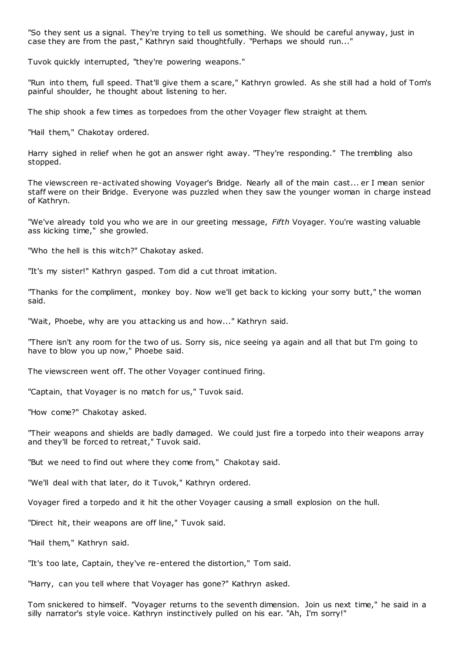"So they sent us a signal. They're trying to tell us something. We should be careful anyway, just in case they are from the past," Kathryn said thoughtfully. "Perhaps we should run..."

Tuvok quickly interrupted, "they're powering weapons."

"Run into them, full speed. That'll give them a scare," Kathryn growled. As she still had a hold of Tom's painful shoulder, he thought about listening to her.

The ship shook a few times as torpedoes from the other Voyager flew straight at them.

"Hail them," Chakotay ordered.

Harry sighed in relief when he got an answer right away. "They're responding." The trembling also stopped.

The viewscreen re-activated showing Voyager's Bridge. Nearly all of the main cast... er I mean senior staff were on their Bridge. Everyone was puzzled when they saw the younger woman in charge instead of Kathryn.

"We've already told you who we are in our greeting message, *Fifth* Voyager. You're wasting valuable ass kicking time," she growled.

"Who the hell is this witch?" Chakotay asked.

"It's my sister!" Kathryn gasped. Tom did a cut throat imitation.

"Thanks for the compliment, monkey boy. Now we'll get back to kicking your sorry butt," the woman said.

"Wait, Phoebe, why are you attacking us and how..." Kathryn said.

"There isn't any room for the two of us. Sorry sis, nice seeing ya again and all that but I'm going to have to blow you up now," Phoebe said.

The viewscreen went off. The other Voyager continued firing.

"Captain, that Voyager is no match for us," Tuvok said.

"How come?" Chakotay asked.

"Their weapons and shields are badly damaged. We could just fire a torpedo into their weapons array and they'll be forced to retreat," Tuvok said.

"But we need to find out where they come from," Chakotay said.

"We'll deal with that later, do it Tuvok," Kathryn ordered.

Voyager fired a torpedo and it hit the other Voyager causing a small explosion on the hull.

"Direct hit, their weapons are off line," Tuvok said.

"Hail them," Kathryn said.

"It's too late, Captain, they've re-entered the distortion," Tom said.

"Harry, can you tell where that Voyager has gone?" Kathryn asked.

Tom snickered to himself. "Voyager returns to the seventh dimension. Join us next time," he said in a silly narrator's style voice. Kathryn instinctively pulled on his ear. "Ah, I'm sorry!"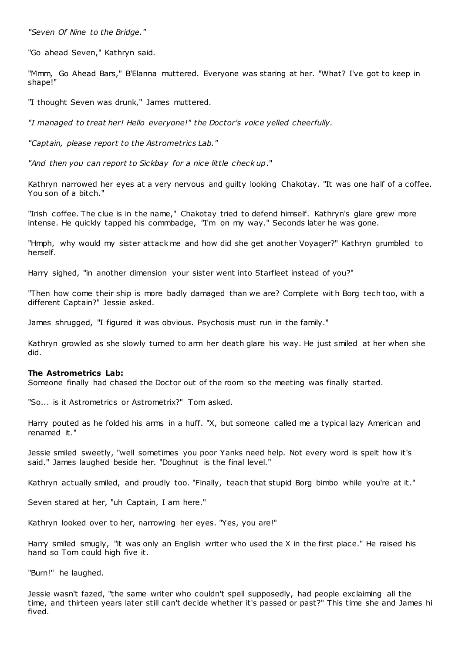*"Seven Of Nine to the Bridge."*

"Go ahead Seven," Kathryn said.

"Mmm, Go Ahead Bars," B'Elanna muttered. Everyone was staring at her. "What? I've got to keep in shape!"

"I thought Seven was drunk," James muttered.

*"I managed to treat her! Hello everyone!" the Doctor's voice yelled cheerfully.*

*"Captain, please report to the Astrometrics Lab."*

*"And then you can report to Sickbay for a nice little check up*."

Kathryn narrowed her eyes at a very nervous and guilty looking Chakotay. "It was one half of a coffee. You son of a bitch."

"Irish coffee. The clue is in the name," Chakotay tried to defend himself. Kathryn's glare grew more intense. He quickly tapped his commbadge, "I'm on my way." Seconds later he was gone.

"Hmph, why would my sister attack me and how did she get another Voyager?" Kathryn grumbled to herself.

Harry sighed, "in another dimension your sister went into Starfleet instead of you?"

"Then how come their ship is more badly damaged than we are? Complete with Borg tech too, with a different Captain?" Jessie asked.

James shrugged, "I figured it was obvious. Psychosis must run in the family."

Kathryn growled as she slowly turned to arm her death glare his way. He just smiled at her when she did.

## **The Astrometrics Lab:**

Someone finally had chased the Doctor out of the room so the meeting was finally started.

"So... is it Astrometrics or Astrometrix?" Tom asked.

Harry pouted as he folded his arms in a huff. "X, but someone called me a typical lazy American and renamed it."

Jessie smiled sweetly, "well sometimes you poor Yanks need help. Not every word is spelt how it's said." James laughed beside her. "Doughnut is the final level."

Kathryn actually smiled, and proudly too. "Finally, teach that stupid Borg bimbo while you're at it."

Seven stared at her, "uh Captain, I am here."

Kathryn looked over to her, narrowing her eyes. "Yes, you are!"

Harry smiled smugly, "it was only an English writer who used the X in the first place." He raised his hand so Tom could high five it.

"Burn!" he laughed.

Jessie wasn't fazed, "the same writer who couldn't spell supposedly, had people exclaiming all the time, and thirteen years later still can't decide whether it's passed or past?" This time she and James hi fived.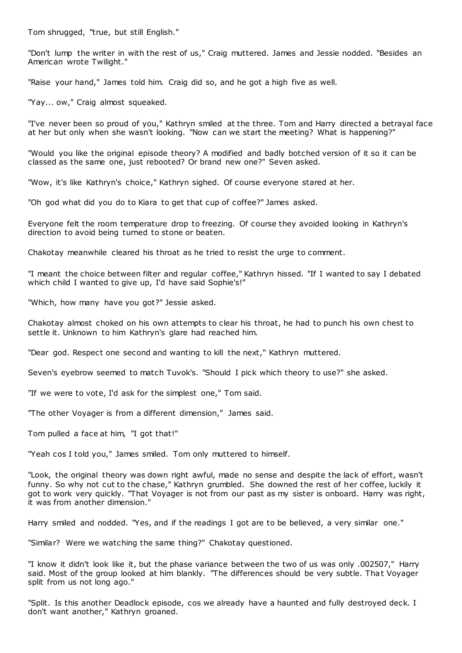Tom shrugged, "true, but still English."

"Don't lump the writer in with the rest of us," Craig muttered. James and Jessie nodded. "Besides an American wrote Twilight."

"Raise your hand," James told him. Craig did so, and he got a high five as well.

"Yay... ow," Craig almost squeaked.

"I've never been so proud of you," Kathryn smiled at the three. Tom and Harry directed a betrayal face at her but only when she wasn't looking. "Now can we start the meeting? What is happening?"

"Would you like the original episode theory? A modified and badly botched version of it so it can be classed as the same one, just rebooted? Or brand new one?" Seven asked.

"Wow, it's like Kathryn's choice," Kathryn sighed. Of course everyone stared at her.

"Oh god what did you do to Kiara to get that cup of coffee?" James asked.

Everyone felt the room temperature drop to freezing. Of course they avoided looking in Kathryn's direction to avoid being turned to stone or beaten.

Chakotay meanwhile cleared his throat as he tried to resist the urge to comment.

"I meant the choice between filter and regular coffee," Kathryn hissed. "If I wanted to say I debated which child I wanted to give up, I'd have said Sophie's!"

"Which, how many have you got?" Jessie asked.

Chakotay almost choked on his own attempts to clear his throat, he had to punch his own chest to settle it. Unknown to him Kathryn's glare had reached him.

"Dear god. Respect one second and wanting to kill the next," Kathryn muttered.

Seven's eyebrow seemed to match Tuvok's. "Should I pick which theory to use?" she asked.

"If we were to vote, I'd ask for the simplest one," Tom said.

"The other Voyager is from a different dimension," James said.

Tom pulled a face at him, "I got that!"

"Yeah cos I told you," James smiled. Tom only muttered to himself.

"Look, the original theory was down right awful, made no sense and despite the lack of effort, wasn't funny. So why not cut to the chase," Kathryn grumbled. She downed the rest of her coffee, luckily it got to work very quickly. "That Voyager is not from our past as my sister is onboard. Harry was right, it was from another dimension."

Harry smiled and nodded. "Yes, and if the readings I got are to be believed, a very similar one."

"Similar? Were we watching the same thing?" Chakotay questioned.

"I know it didn't look like it, but the phase variance between the two of us was only .002507," Harry said. Most of the group looked at him blankly. "The differences should be very subtle. That Voyager split from us not long ago."

"Split. Is this another Deadlock episode, cos we already have a haunted and fully destroyed deck. I don't want another," Kathryn groaned.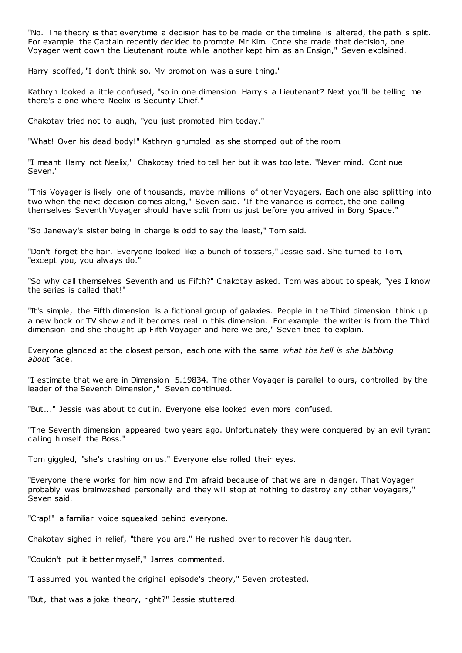"No. The theory is that everytime a decision has to be made or the timeline is altered, the path is split. For example the Captain recently decided to promote Mr Kim. Once she made that decision, one Voyager went down the Lieutenant route while another kept him as an Ensign," Seven explained.

Harry scoffed, "I don't think so. My promotion was a sure thing."

Kathryn looked a little confused, "so in one dimension Harry's a Lieutenant? Next you'll be telling me there's a one where Neelix is Security Chief."

Chakotay tried not to laugh, "you just promoted him today."

"What! Over his dead body!" Kathryn grumbled as she stomped out of the room.

"I meant Harry not Neelix," Chakotay tried to tell her but it was too late. "Never mind. Continue Seven."

"This Voyager is likely one of thousands, maybe millions of other Voyagers. Each one also splitting into two when the next decision comes along," Seven said. "If the variance is correct, the one calling themselves Seventh Voyager should have split from us just before you arrived in Borg Space."

"So Janeway's sister being in charge is odd to say the least," Tom said.

"Don't forget the hair. Everyone looked like a bunch of tossers," Jessie said. She turned to Tom, "except you, you always do."

"So why call themselves Seventh and us Fifth?" Chakotay asked. Tom was about to speak, "yes I know the series is called that!"

"It's simple, the Fifth dimension is a fictional group of galaxies. People in the Third dimension think up a new book or TV show and it becomes real in this dimension. For example the writer is from the Third dimension and she thought up Fifth Voyager and here we are," Seven tried to explain.

Everyone glanced at the closest person, each one with the same *what the hell is she blabbing about* face.

"I estimate that we are in Dimension 5.19834. The other Voyager is parallel to ours, controlled by the leader of the Seventh Dimension," Seven continued.

"But..." Jessie was about to cut in. Everyone else looked even more confused.

"The Seventh dimension appeared two years ago. Unfortunately they were conquered by an evil tyrant calling himself the Boss."

Tom giggled, "she's crashing on us." Everyone else rolled their eyes.

"Everyone there works for him now and I'm afraid because of that we are in danger. That Voyager probably was brainwashed personally and they will stop at nothing to destroy any other Voyagers," Seven said.

"Crap!" a familiar voice squeaked behind everyone.

Chakotay sighed in relief, "there you are." He rushed over to recover his daughter.

"Couldn't put it better myself," James commented.

"I assumed you wanted the original episode's theory," Seven protested.

"But, that was a joke theory, right?" Jessie stuttered.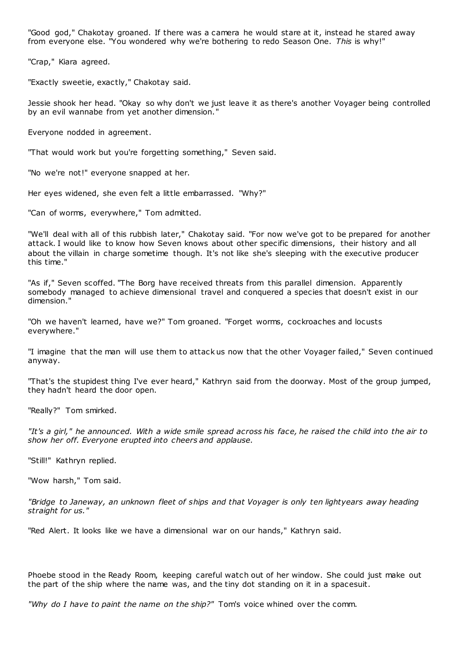"Good god," Chakotay groaned. If there was a camera he would stare at it, instead he stared away from everyone else. "You wondered why we're bothering to redo Season One. *This* is why!"

"Crap," Kiara agreed.

"Exactly sweetie, exactly," Chakotay said.

Jessie shook her head. "Okay so why don't we just leave it as there's another Voyager being controlled by an evil wannabe from yet another dimension."

Everyone nodded in agreement.

"That would work but you're forgetting something," Seven said.

"No we're not!" everyone snapped at her.

Her eyes widened, she even felt a little embarrassed. "Why?"

"Can of worms, everywhere," Tom admitted.

"We'll deal with all of this rubbish later," Chakotay said. "For now we've got to be prepared for another attack. I would like to know how Seven knows about other specific dimensions, their history and all about the villain in charge sometime though. It's not like she's sleeping with the executive producer this time."

"As if," Seven scoffed. "The Borg have received threats from this parallel dimension. Apparently somebody managed to achieve dimensional travel and conquered a species that doesn't exist in our dimension."

"Oh we haven't learned, have we?" Tom groaned. "Forget worms, cockroaches and locusts everywhere."

"I imagine that the man will use them to attack us now that the other Voyager failed," Seven continued anyway.

"That's the stupidest thing I've ever heard," Kathryn said from the doorway. Most of the group jumped, they hadn't heard the door open.

"Really?" Tom smirked.

*"It's a girl," he announced. With a wide smile spread across his face, he raised the child into the air to show her off. Everyone erupted into cheers and applause.*

"Still!" Kathryn replied.

"Wow harsh," Tom said.

*"Bridge to Janeway, an unknown fleet of ships and that Voyager is only ten lightyears away heading straight for us."*

"Red Alert. It looks like we have a dimensional war on our hands," Kathryn said.

Phoebe stood in the Ready Room, keeping careful watch out of her window. She could just make out the part of the ship where the name was, and the tiny dot standing on it in a spacesuit.

*"Why do I have to paint the name on the ship?"* Tom's voice whined over the comm.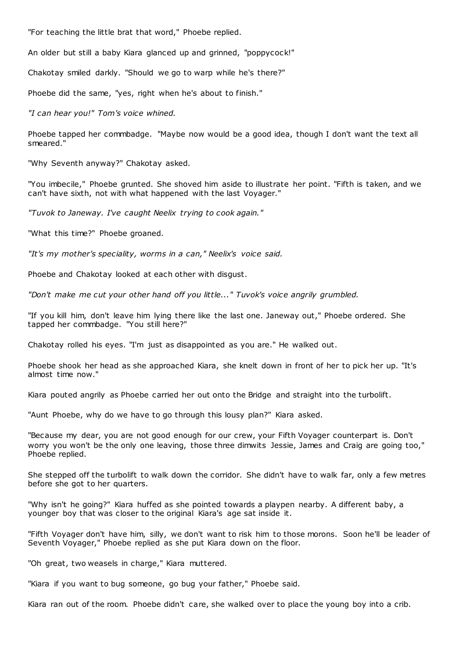"For teaching the little brat that word," Phoebe replied.

An older but still a baby Kiara glanced up and grinned, "poppycock!"

Chakotay smiled darkly. "Should we go to warp while he's there?"

Phoebe did the same, "yes, right when he's about to finish."

*"I can hear you!" Tom's voice whined.*

Phoebe tapped her commbadge. "Maybe now would be a good idea, though I don't want the text all smeared."

"Why Seventh anyway?" Chakotay asked.

"You imbecile," Phoebe grunted. She shoved him aside to illustrate her point. "Fifth is taken, and we can't have sixth, not with what happened with the last Voyager."

*"Tuvok to Janeway. I've caught Neelix trying to cook again."*

"What this time?" Phoebe groaned.

*"It's my mother's speciality, worms in a can," Neelix's voice said.*

Phoebe and Chakotay looked at each other with disgust.

*"Don't make me cut your other hand off you little..." Tuvok's voice angrily grumbled.*

"If you kill him, don't leave him lying there like the last one. Janeway out," Phoebe ordered. She tapped her commbadge. "You still here?"

Chakotay rolled his eyes. "I'm just as disappointed as you are." He walked out.

Phoebe shook her head as she approached Kiara, she knelt down in front of her to pick her up. "It's almost time now."

Kiara pouted angrily as Phoebe carried her out onto the Bridge and straight into the turbolift.

"Aunt Phoebe, why do we have to go through this lousy plan?" Kiara asked.

"Because my dear, you are not good enough for our crew, your Fifth Voyager counterpart is. Don't worry you won't be the only one leaving, those three dimwits Jessie, James and Craig are going too," Phoebe replied.

She stepped off the turbolift to walk down the corridor. She didn't have to walk far, only a few metres before she got to her quarters.

"Why isn't he going?" Kiara huffed as she pointed towards a playpen nearby. A different baby, a younger boy that was closer to the original Kiara's age sat inside it.

"Fifth Voyager don't have him, silly, we don't want to risk him to those morons. Soon he'll be leader of Seventh Voyager," Phoebe replied as she put Kiara down on the floor.

"Oh great, two weasels in charge," Kiara muttered.

"Kiara if you want to bug someone, go bug your father," Phoebe said.

Kiara ran out of the room. Phoebe didn't care, she walked over to place the young boy into a crib.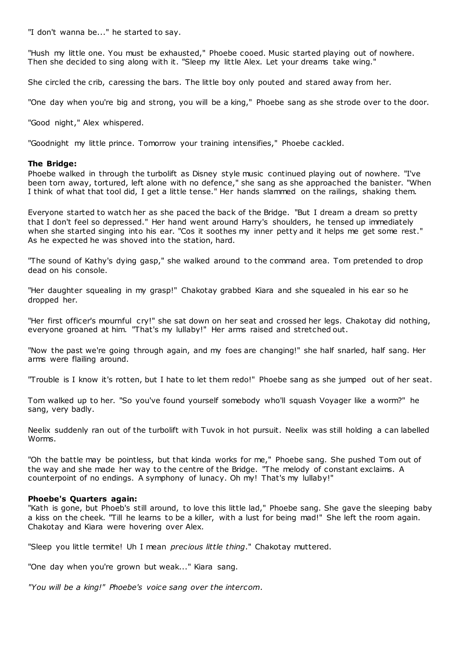"I don't wanna be..." he started to say.

"Hush my little one. You must be exhausted," Phoebe cooed. Music started playing out of nowhere. Then she decided to sing along with it. "Sleep my little Alex. Let your dreams take wing."

She circled the crib, caressing the bars. The little boy only pouted and stared away from her.

"One day when you're big and strong, you will be a king," Phoebe sang as she strode over to the door.

"Good night," Alex whispered.

"Goodnight my little prince. Tomorrow your training intensifies," Phoebe cackled.

## **The Bridge:**

Phoebe walked in through the turbolift as Disney style music continued playing out of nowhere. "I've been torn away, tortured, left alone with no defence," she sang as she approached the banister. "When I think of what that tool did, I get a little tense." Her hands slammed on the railings, shaking them.

Everyone started to watch her as she paced the back of the Bridge. "But I dream a dream so pretty that I don't feel so depressed." Her hand went around Harry's shoulders, he tensed up immediately when she started singing into his ear. "Cos it soothes my inner petty and it helps me get some rest." As he expected he was shoved into the station, hard.

"The sound of Kathy's dying gasp," she walked around to the command area. Tom pretended to drop dead on his console.

"Her daughter squealing in my grasp!" Chakotay grabbed Kiara and she squealed in his ear so he dropped her.

"Her first officer's mournful cry!" she sat down on her seat and crossed her legs. Chakotay did nothing, everyone groaned at him. "That's my lullaby!" Her arms raised and stretched out.

"Now the past we're going through again, and my foes are changing!" she half snarled, half sang. Her arms were flailing around.

"Trouble is I know it's rotten, but I hate to let them redo!" Phoebe sang as she jumped out of her seat.

Tom walked up to her. "So you've found yourself somebody who'll squash Voyager like a worm?" he sang, very badly.

Neelix suddenly ran out of the turbolift with Tuvok in hot pursuit. Neelix was still holding a can labelled Worms.

"Oh the battle may be pointless, but that kinda works for me," Phoebe sang. She pushed Tom out of the way and she made her way to the centre of the Bridge. "The melody of constant exclaims. A counterpoint of no endings. A symphony of lunacy. Oh my! That's my lullaby!"

## **Phoebe's Quarters again:**

"Kath is gone, but Phoeb's still around, to love this little lad," Phoebe sang. She gave the sleeping baby a kiss on the cheek. "Till he learns to be a killer, with a lust for being mad!" She left the room again. Chakotay and Kiara were hovering over Alex.

"Sleep you little termite! Uh I mean *precious little thing*." Chakotay muttered.

"One day when you're grown but weak..." Kiara sang.

*"You will be a king!" Phoebe's voice sang over the intercom.*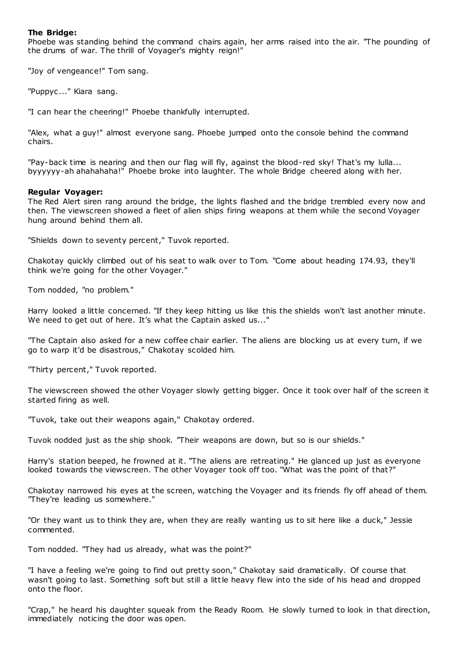# **The Bridge:**

Phoebe was standing behind the command chairs again, her arms raised into the air. "The pounding of the drums of war. The thrill of Voyager's mighty reign!"

"Joy of vengeance!" Tom sang.

"Puppyc ..." Kiara sang.

"I can hear the cheering!" Phoebe thankfully interrupted.

"Alex, what a guy!" almost everyone sang. Phoebe jumped onto the console behind the command chairs.

"Pay-back time is nearing and then our flag will fly, against the blood-red sky! That's my lulla... byyyyyy-ah ahahahaha!" Phoebe broke into laughter. The whole Bridge cheered along with her.

## **Regular Voyager:**

The Red Alert siren rang around the bridge, the lights flashed and the bridge trembled every now and then. The viewscreen showed a fleet of alien ships firing weapons at them while the second Voyager hung around behind them all.

"Shields down to seventy percent," Tuvok reported.

Chakotay quickly climbed out of his seat to walk over to Tom. "Come about heading 174.93, they'll think we're going for the other Voyager."

Tom nodded, "no problem."

Harry looked a little concerned. "If they keep hitting us like this the shields won't last another minute. We need to get out of here. It's what the Captain asked us..."

"The Captain also asked for a new coffee chair earlier. The aliens are blocking us at every turn, if we go to warp it'd be disastrous," Chakotay scolded him.

"Thirty percent," Tuvok reported.

The viewscreen showed the other Voyager slowly getting bigger. Once it took over half of the screen it started firing as well.

"Tuvok, take out their weapons again," Chakotay ordered.

Tuvok nodded just as the ship shook. "Their weapons are down, but so is our shields."

Harry's station beeped, he frowned at it. "The aliens are retreating." He glanced up just as everyone looked towards the viewscreen. The other Voyager took off too. "What was the point of that?"

Chakotay narrowed his eyes at the screen, watching the Voyager and its friends fly off ahead of them. "They're leading us somewhere."

"Or they want us to think they are, when they are really wanting us to sit here like a duck," Jessie commented.

Tom nodded. "They had us already, what was the point?"

"I have a feeling we're going to find out pretty soon," Chakotay said dramatically. Of course that wasn't going to last. Something soft but still a little heavy flew into the side of his head and dropped onto the floor.

"Crap," he heard his daughter squeak from the Ready Room. He slowly turned to look in that direction, immediately noticing the door was open.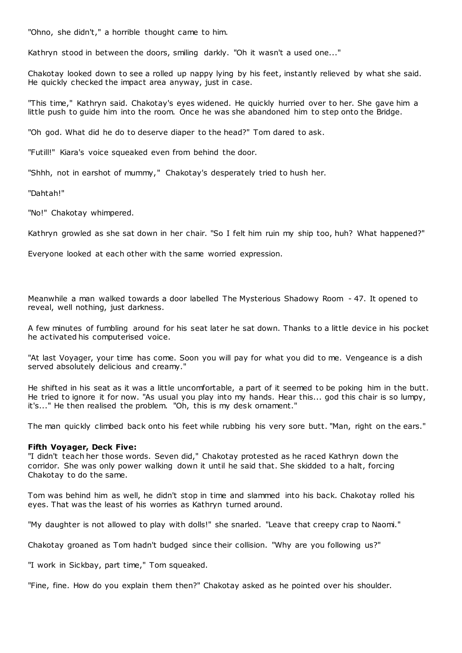"Ohno, she didn't," a horrible thought came to him.

Kathryn stood in between the doors, smiling darkly. "Oh it wasn't a used one..."

Chakotay looked down to see a rolled up nappy lying by his feet, instantly relieved by what she said. He quickly checked the impact area anyway, just in case.

"This time," Kathryn said. Chakotay's eyes widened. He quickly hurried over to her. She gave him a little push to guide him into the room. Once he was she abandoned him to step onto the Bridge.

"Oh god. What did he do to deserve diaper to the head?" Tom dared to ask.

"Futill!" Kiara's voice squeaked even from behind the door.

"Shhh, not in earshot of mummy," Chakotay's desperately tried to hush her.

"Dahtah!"

"No!" Chakotay whimpered.

Kathryn growled as she sat down in her chair. "So I felt him ruin my ship too, huh? What happened?"

Everyone looked at each other with the same worried expression.

Meanwhile a man walked towards a door labelled The Mysterious Shadowy Room - 47. It opened to reveal, well nothing, just darkness.

A few minutes of fumbling around for his seat later he sat down. Thanks to a little device in his pocket he activated his computerised voice.

"At last Voyager, your time has come. Soon you will pay for what you did to me. Vengeance is a dish served absolutely delicious and creamy."

He shifted in his seat as it was a little uncomfortable, a part of it seemed to be poking him in the butt. He tried to ignore it for now. "As usual you play into my hands. Hear this... god this chair is so lumpy, it's..." He then realised the problem. "Oh, this is my desk ornament."

The man quickly climbed back onto his feet while rubbing his very sore butt. "Man, right on the ears."

## **Fifth Voyager, Deck Five:**

"I didn't teach her those words. Seven did," Chakotay protested as he raced Kathryn down the corridor. She was only power walking down it until he said that. She skidded to a halt, forcing Chakotay to do the same.

Tom was behind him as well, he didn't stop in time and slammed into his back. Chakotay rolled his eyes. That was the least of his worries as Kathryn turned around.

"My daughter is not allowed to play with dolls!" she snarled. "Leave that creepy crap to Naomi."

Chakotay groaned as Tom hadn't budged since their collision. "Why are you following us?"

"I work in Sickbay, part time," Tom squeaked.

"Fine, fine. How do you explain them then?" Chakotay asked as he pointed over his shoulder.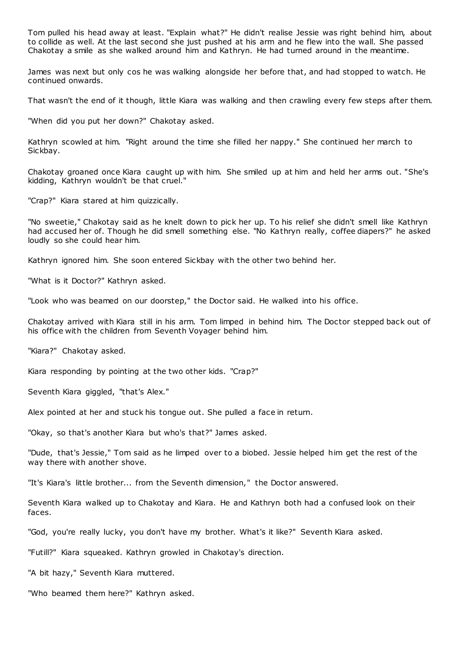Tom pulled his head away at least. "Explain what?" He didn't realise Jessie was right behind him, about to collide as well. At the last second she just pushed at his arm and he flew into the wall. She passed Chakotay a smile as she walked around him and Kathryn. He had turned around in the meantime.

James was next but only cos he was walking alongside her before that, and had stopped to watch. He continued onwards.

That wasn't the end of it though, little Kiara was walking and then crawling every few steps after them.

"When did you put her down?" Chakotay asked.

Kathryn scowled at him. "Right around the time she filled her nappy." She continued her march to Sickbay.

Chakotay groaned once Kiara caught up with him. She smiled up at him and held her arms out. "She's kidding, Kathryn wouldn't be that cruel."

"Crap?" Kiara stared at him quizzically.

"No sweetie," Chakotay said as he knelt down to pick her up. To his relief she didn't smell like Kathryn had accused her of. Though he did smell something else. "No Kathryn really, coffee diapers?" he asked loudly so she could hear him.

Kathryn ignored him. She soon entered Sickbay with the other two behind her.

"What is it Doctor?" Kathryn asked.

"Look who was beamed on our doorstep," the Doctor said. He walked into his office.

Chakotay arrived with Kiara still in his arm. Tom limped in behind him. The Doctor stepped back out of his office with the children from Seventh Voyager behind him.

"Kiara?" Chakotay asked.

Kiara responding by pointing at the two other kids. "Crap?"

Seventh Kiara giggled, "that's Alex."

Alex pointed at her and stuck his tongue out. She pulled a face in return.

"Okay, so that's another Kiara but who's that?" James asked.

"Dude, that's Jessie," Tom said as he limped over to a biobed. Jessie helped him get the rest of the way there with another shove.

"It's Kiara's little brother... from the Seventh dimension," the Doctor answered.

Seventh Kiara walked up to Chakotay and Kiara. He and Kathryn both had a confused look on their faces.

"God, you're really lucky, you don't have my brother. What's it like?" Seventh Kiara asked.

"Futill?" Kiara squeaked. Kathryn growled in Chakotay's direction.

"A bit hazy," Seventh Kiara muttered.

"Who beamed them here?" Kathryn asked.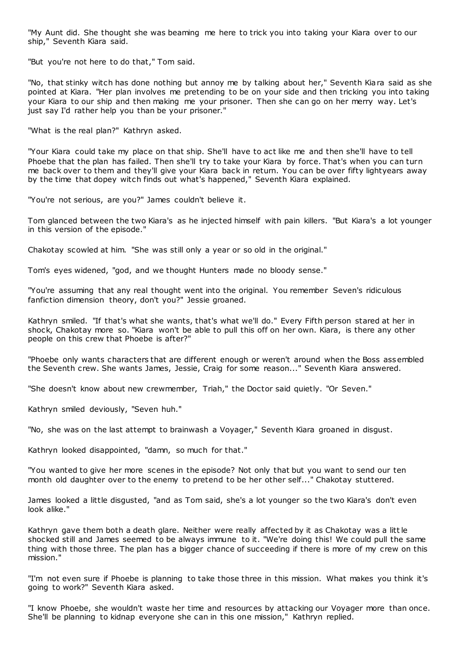"My Aunt did. She thought she was beaming me here to trick you into taking your Kiara over to our ship," Seventh Kiara said.

"But you're not here to do that," Tom said.

"No, that stinky witch has done nothing but annoy me by talking about her," Seventh Kiara said as she pointed at Kiara. "Her plan involves me pretending to be on your side and then tricking you into taking your Kiara to our ship and then making me your prisoner. Then she can go on her merry way. Let's just say I'd rather help you than be your prisoner."

"What is the real plan?" Kathryn asked.

"Your Kiara could take my place on that ship. She'll have to act like me and then she'll have to tell Phoebe that the plan has failed. Then she'll try to take your Kiara by force. That's when you can turn me back over to them and they'll give your Kiara back in return. You can be over fifty lightyears away by the time that dopey witch finds out what's happened," Seventh Kiara explained.

"You're not serious, are you?" James couldn't believe it.

Tom glanced between the two Kiara's as he injected himself with pain killers. "But Kiara's a lot younger in this version of the episode."

Chakotay scowled at him. "She was still only a year or so old in the original."

Tom's eyes widened, "god, and we thought Hunters made no bloody sense."

"You're assuming that any real thought went into the original. You remember Seven's ridiculous fanfiction dimension theory, don't you?" Jessie groaned.

Kathryn smiled. "If that's what she wants, that's what we'll do." Every Fifth person stared at her in shock, Chakotay more so. "Kiara won't be able to pull this off on her own. Kiara, is there any other people on this crew that Phoebe is after?"

"Phoebe only wants characters that are different enough or weren't around when the Boss assembled the Seventh crew. She wants James, Jessie, Craig for some reason..." Seventh Kiara answered.

"She doesn't know about new crewmember, Triah," the Doctor said quietly. "Or Seven."

Kathryn smiled deviously, "Seven huh."

"No, she was on the last attempt to brainwash a Voyager," Seventh Kiara groaned in disgust.

Kathryn looked disappointed, "damn, so much for that."

"You wanted to give her more scenes in the episode? Not only that but you want to send our ten month old daughter over to the enemy to pretend to be her other self..." Chakotay stuttered.

James looked a little disgusted, "and as Tom said, she's a lot younger so the two Kiara's don't even look alike."

Kathryn gave them both a death glare. Neither were really affected by it as Chakotay was a little shocked still and James seemed to be always immune to it. "We're doing this! We could pull the same thing with those three. The plan has a bigger chance of succeeding if there is more of my crew on this mission."

"I'm not even sure if Phoebe is planning to take those three in this mission. What makes you think it's going to work?" Seventh Kiara asked.

"I know Phoebe, she wouldn't waste her time and resources by attacking our Voyager more than once. She'll be planning to kidnap everyone she can in this one mission," Kathryn replied.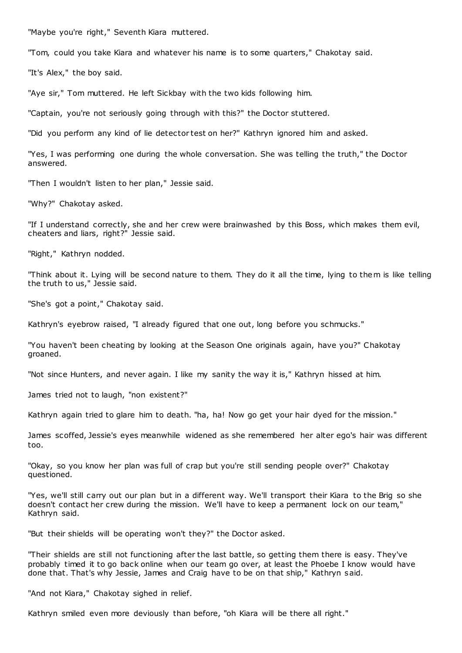"Maybe you're right," Seventh Kiara muttered.

"Tom, could you take Kiara and whatever his name is to some quarters," Chakotay said.

"It's Alex," the boy said.

"Aye sir," Tom muttered. He left Sickbay with the two kids following him.

"Captain, you're not seriously going through with this?" the Doctor stuttered.

"Did you perform any kind of lie detector test on her?" Kathryn ignored him and asked.

"Yes, I was performing one during the whole conversation. She was telling the truth," the Doctor answered.

"Then I wouldn't listen to her plan," Jessie said.

"Why?" Chakotay asked.

"If I understand correctly, she and her crew were brainwashed by this Boss, which makes them evil, cheaters and liars, right?" Jessie said.

"Right," Kathryn nodded.

"Think about it. Lying will be second nature to them. They do it all the time, lying to them is like telling the truth to us," Jessie said.

"She's got a point," Chakotay said.

Kathryn's eyebrow raised, "I already figured that one out, long before you schmucks."

"You haven't been cheating by looking at the Season One originals again, have you?" Chakotay groaned.

"Not since Hunters, and never again. I like my sanity the way it is," Kathryn hissed at him.

James tried not to laugh, "non existent?"

Kathryn again tried to glare him to death. "ha, ha! Now go get your hair dyed for the mission."

James scoffed, Jessie's eyes meanwhile widened as she remembered her alter ego's hair was different too.

"Okay, so you know her plan was full of crap but you're still sending people over?" Chakotay questioned.

"Yes, we'll still carry out our plan but in a different way. We'll transport their Kiara to the Brig so she doesn't contact her crew during the mission. We'll have to keep a permanent lock on our team," Kathryn said.

"But their shields will be operating won't they?" the Doctor asked.

"Their shields are still not functioning after the last battle, so getting them there is easy. They've probably timed it to go back online when our team go over, at least the Phoebe I know would have done that. That's why Jessie, James and Craig have to be on that ship," Kathryn said.

"And not Kiara," Chakotay sighed in relief.

Kathryn smiled even more deviously than before, "oh Kiara will be there all right."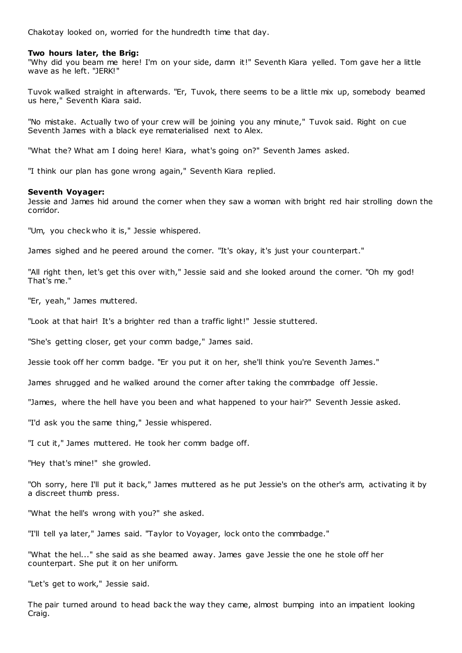Chakotay looked on, worried for the hundredth time that day.

#### **Two hours later, the Brig:**

"Why did you beam me here! I'm on your side, damn it!" Seventh Kiara yelled. Tom gave her a little wave as he left. "JERK!"

Tuvok walked straight in afterwards. "Er, Tuvok, there seems to be a little mix up, somebody beamed us here," Seventh Kiara said.

"No mistake. Actually two of your crew will be joining you any minute," Tuvok said. Right on cue Seventh James with a black eye rematerialised next to Alex.

"What the? What am I doing here! Kiara, what's going on?" Seventh James asked.

"I think our plan has gone wrong again," Seventh Kiara replied.

#### **Seventh Voyager:**

Jessie and James hid around the corner when they saw a woman with bright red hair strolling down the corridor.

"Um, you check who it is," Jessie whispered.

James sighed and he peered around the corner. "It's okay, it's just your counterpart."

"All right then, let's get this over with," Jessie said and she looked around the corner. "Oh my god! That's me."

"Er, yeah," James muttered.

"Look at that hair! It's a brighter red than a traffic light!" Jessie stuttered.

"She's getting closer, get your comm badge," James said.

Jessie took off her comm badge. "Er you put it on her, she'll think you're Seventh James."

James shrugged and he walked around the corner after taking the commbadge off Jessie.

"James, where the hell have you been and what happened to your hair?" Seventh Jessie asked.

"I'd ask you the same thing," Jessie whispered.

"I cut it," James muttered. He took her comm badge off.

"Hey that's mine!" she growled.

"Oh sorry, here I'll put it back," James muttered as he put Jessie's on the other's arm, activating it by a discreet thumb press.

"What the hell's wrong with you?" she asked.

"I'll tell ya later," James said. "Taylor to Voyager, lock onto the commbadge."

"What the hel..." she said as she beamed away. James gave Jessie the one he stole off her counterpart. She put it on her uniform.

"Let's get to work," Jessie said.

The pair turned around to head back the way they came, almost bumping into an impatient looking Craig.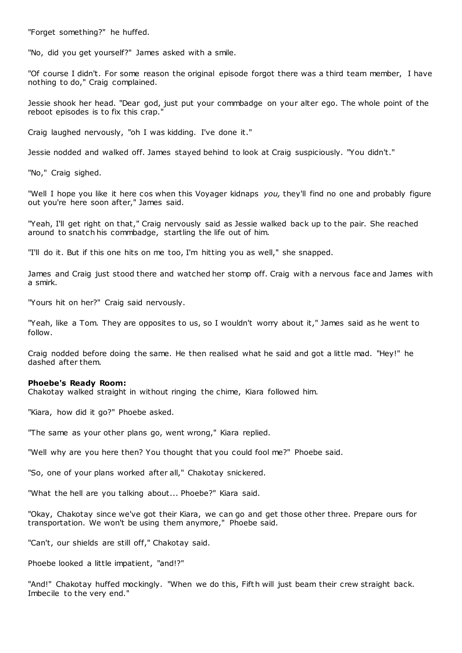"Forget something?" he huffed.

"No, did you get yourself?" James asked with a smile.

"Of course I didn't. For some reason the original episode forgot there was a third team member, I have nothing to do," Craig complained.

Jessie shook her head. "Dear god, just put your commbadge on your alter ego. The whole point of the reboot episodes is to fix this crap.

Craig laughed nervously, "oh I was kidding. I've done it."

Jessie nodded and walked off. James stayed behind to look at Craig suspiciously. "You didn't."

"No," Craig sighed.

"Well I hope you like it here cos when this Voyager kidnaps *you,* they'll find no one and probably figure out you're here soon after," James said.

"Yeah, I'll get right on that," Craig nervously said as Jessie walked back up to the pair. She reached around to snatch his commbadge, startling the life out of him.

"I'll do it. But if this one hits on me too, I'm hitting you as well," she snapped.

James and Craig just stood there and watched her stomp off. Craig with a nervous face and James with a smirk.

"Yours hit on her?" Craig said nervously.

"Yeah, like a Tom. They are opposites to us, so I wouldn't worry about it," James said as he went to follow.

Craig nodded before doing the same. He then realised what he said and got a little mad. "Hey!" he dashed after them.

#### **Phoebe's Ready Room:**

Chakotay walked straight in without ringing the chime, Kiara followed him.

"Kiara, how did it go?" Phoebe asked.

"The same as your other plans go, went wrong," Kiara replied.

"Well why are you here then? You thought that you could fool me?" Phoebe said.

"So, one of your plans worked after all," Chakotay snickered.

"What the hell are you talking about... Phoebe?" Kiara said.

"Okay, Chakotay since we've got their Kiara, we can go and get those other three. Prepare ours for transportation. We won't be using them anymore," Phoebe said.

"Can't, our shields are still off," Chakotay said.

Phoebe looked a little impatient, "and!?"

"And!" Chakotay huffed mockingly. "When we do this, Fifth will just beam their crew straight back. Imbecile to the very end."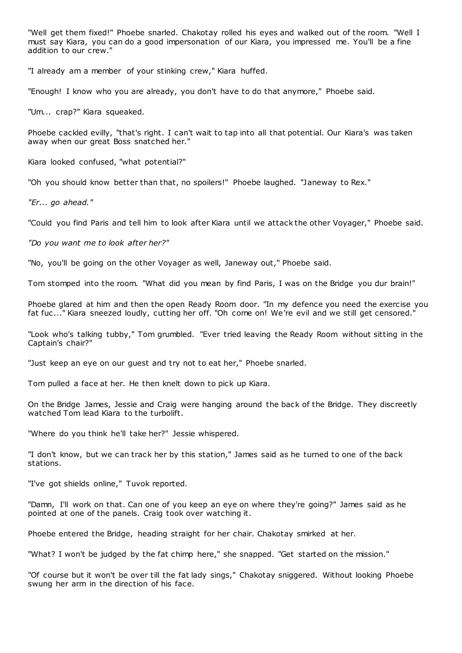"Well get them fixed!" Phoebe snarled. Chakotay rolled his eyes and walked out of the room. "Well I must say Kiara, you can do a good impersonation of our Kiara, you impressed me. You'll be a fine addition to our crew."

"I already am a member of your stinking crew," Kiara huffed.

"Enough! I know who you are already, you don't have to do that anymore," Phoebe said.

"Um... crap?" Kiara squeaked.

Phoebe cackled evilly, "that's right. I can't wait to tap into all that potential. Our Kiara's was taken away when our great Boss snatched her."

Kiara looked confused, "what potential?"

"Oh you should know better than that, no spoilers!" Phoebe laughed. "Janeway to Rex."

*"Er... go ahead."*

"Could you find Paris and tell him to look after Kiara until we attack the other Voyager," Phoebe said.

*"Do you want me to look after her?"*

"No, you'll be going on the other Voyager as well, Janeway out," Phoebe said.

Tom stomped into the room. "What did you mean by find Paris, I was on the Bridge you dur brain!"

Phoebe glared at him and then the open Ready Room door. "In my defence you need the exercise you fat fuc ..." Kiara sneezed loudly, cutting her off. "Oh come on! We're evil and we still get censored."

"Look who's talking tubby," Tom grumbled. "Ever tried leaving the Ready Room without sitting in the Captain's chair?"

"Just keep an eye on our guest and try not to eat her," Phoebe snarled.

Tom pulled a face at her. He then knelt down to pick up Kiara.

On the Bridge James, Jessie and Craig were hanging around the back of the Bridge. They discreetly watched Tom lead Kiara to the turbolift.

"Where do you think he'll take her?" Jessie whispered.

"I don't know, but we can track her by this station," James said as he turned to one of the back stations.

"I've got shields online," Tuvok reported.

"Damn, I'll work on that. Can one of you keep an eye on where they're going?" James said as he pointed at one of the panels. Craig took over watching it.

Phoebe entered the Bridge, heading straight for her chair. Chakotay smirked at her.

"What? I won't be judged by the fat chimp here," she snapped. "Get started on the mission."

"Of course but it won't be over till the fat lady sings," Chakotay sniggered. Without looking Phoebe swung her arm in the direction of his face.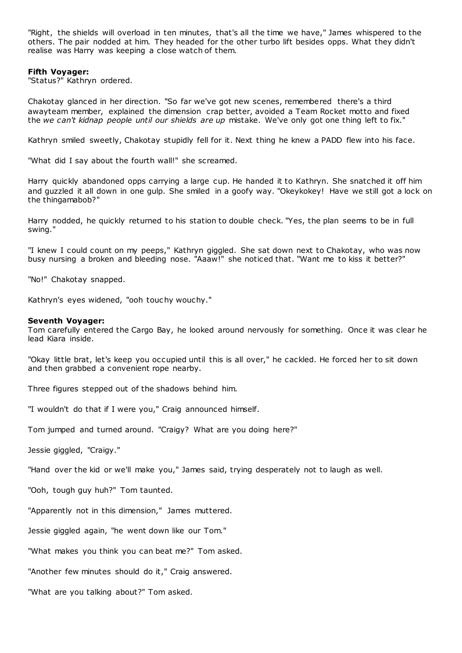"Right, the shields will overload in ten minutes, that's all the time we have," James whispered to the others. The pair nodded at him. They headed for the other turbo lift besides opps. What they didn't realise was Harry was keeping a close watch of them.

## **Fifth Voyager:**

"Status?" Kathryn ordered.

Chakotay glanced in her direction. "So far we've got new scenes, remembered there's a third awayteam member, explained the dimension crap better, avoided a Team Rocket motto and fixed the *we can't kidnap people until our shields are up* mistake. We've only got one thing left to fix."

Kathryn smiled sweetly, Chakotay stupidly fell for it. Next thing he knew a PADD flew into his face.

"What did I say about the fourth wall!" she screamed.

Harry quickly abandoned opps carrying a large cup. He handed it to Kathryn. She snatched it off him and guzzled it all down in one gulp. She smiled in a goofy way. "Okeykokey! Have we still got a lock on the thingamabob?"

Harry nodded, he quickly returned to his station to double check. "Yes, the plan seems to be in full swing."

"I knew I could count on my peeps," Kathryn giggled. She sat down next to Chakotay, who was now busy nursing a broken and bleeding nose. "Aaaw!" she noticed that. "Want me to kiss it better?"

"No!" Chakotay snapped.

Kathryn's eyes widened, "ooh touchy wouchy."

## **Seventh Voyager:**

Tom carefully entered the Cargo Bay, he looked around nervously for something. Once it was clear he lead Kiara inside.

"Okay little brat, let's keep you occupied until this is all over," he cackled. He forced her to sit down and then grabbed a convenient rope nearby.

Three figures stepped out of the shadows behind him.

"I wouldn't do that if I were you," Craig announced himself.

Tom jumped and turned around. "Craigy? What are you doing here?"

Jessie giggled, "Craigy."

"Hand over the kid or we'll make you," James said, trying desperately not to laugh as well.

"Ooh, tough guy huh?" Tom taunted.

"Apparently not in this dimension," James muttered.

Jessie giggled again, "he went down like our Tom."

"What makes you think you can beat me?" Tom asked.

"Another few minutes should do it," Craig answered.

"What are you talking about?" Tom asked.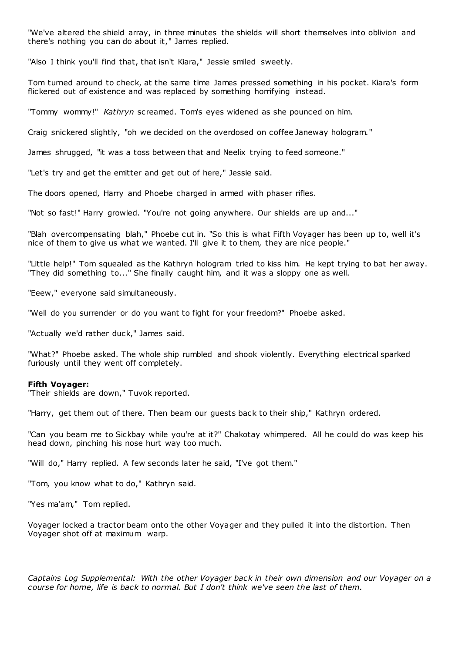"We've altered the shield array, in three minutes the shields will short themselves into oblivion and there's nothing you can do about it," James replied.

"Also I think you'll find that, that isn't Kiara," Jessie smiled sweetly.

Tom turned around to check, at the same time James pressed something in his pocket. Kiara's form flickered out of existence and was replaced by something horrifying instead.

"Tommy wommy!" *Kathryn* screamed. Tom's eyes widened as she pounced on him.

Craig snickered slightly, "oh we decided on the overdosed on coffee Janeway hologram."

James shrugged, "it was a toss between that and Neelix trying to feed someone."

"Let's try and get the emitter and get out of here," Jessie said.

The doors opened, Harry and Phoebe charged in armed with phaser rifles.

"Not so fast!" Harry growled. "You're not going anywhere. Our shields are up and..."

"Blah overcompensating blah," Phoebe cut in. "So this is what Fifth Voyager has been up to, well it's nice of them to give us what we wanted. I'll give it to them, they are nice people."

"Little help!" Tom squealed as the Kathryn hologram tried to kiss him. He kept trying to bat her away. "They did something to..." She finally caught him, and it was a sloppy one as well.

"Eeew," everyone said simultaneously.

"Well do you surrender or do you want to fight for your freedom?" Phoebe asked.

"Actually we'd rather duck," James said.

"What?" Phoebe asked. The whole ship rumbled and shook violently. Everything electrical sparked furiously until they went off completely.

#### **Fifth Voyager:**

"Their shields are down," Tuvok reported.

"Harry, get them out of there. Then beam our guests back to their ship," Kathryn ordered.

"Can you beam me to Sickbay while you're at it?" Chakotay whimpered. All he could do was keep his head down, pinching his nose hurt way too much.

"Will do," Harry replied. A few seconds later he said, "I've got them."

"Tom, you know what to do," Kathryn said.

"Yes ma'am," Tom replied.

Voyager locked a tractor beam onto the other Voyager and they pulled it into the distortion. Then Voyager shot off at maximum warp.

*Captains Log Supplemental: With the other Voyager back in their own dimension and our Voyager on a course for home, life is back to normal. But I don't think we've seen the last of them.*